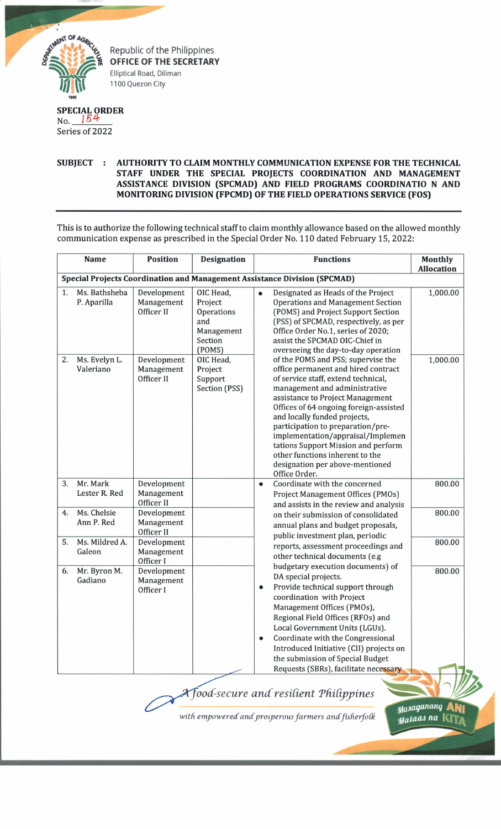

Republic of the Philippines **OFFICE OF THE SECRETARY** Elliptical Road, Diliman 1100 Quezon City

## **SPECIAL ORDER**

No. *154* Series of 2022

## **SUBJECT : AUTHORITY TO CLAIM MONTHLY COMMUNICATION EXPENSE FOR THE TECHNICAL STAFF UNDER THE SPECIAL PROJECTS COORDINATION AND MANAGEMENT ASSISTANCE DIVISION (SPCMAD) AND FIELD PROGRAMS COORDINATIO N AND MONITORING DIVISION (FPCMDJ OF THE FIELD OPERATIONS SERVICE (FOS)**

This is to authorize the following technical staff to claim monthly allowance based on the allowed monthly communication expense as prescribed in the Special Order No. 110 dated February 15, 2022:

|                                                                                  | <b>Name</b>                  | <b>Position</b>                         | <b>Designation</b>                                                           |                        | <b>Functions</b>                                                                                                                                                                                                                                                                                                                                                                                                                                                        | <b>Monthly</b><br><b>Allocation</b> |  |  |  |  |
|----------------------------------------------------------------------------------|------------------------------|-----------------------------------------|------------------------------------------------------------------------------|------------------------|-------------------------------------------------------------------------------------------------------------------------------------------------------------------------------------------------------------------------------------------------------------------------------------------------------------------------------------------------------------------------------------------------------------------------------------------------------------------------|-------------------------------------|--|--|--|--|
| <b>Special Projects Coordination and Management Assistance Division (SPCMAD)</b> |                              |                                         |                                                                              |                        |                                                                                                                                                                                                                                                                                                                                                                                                                                                                         |                                     |  |  |  |  |
| 1.                                                                               | Ms. Bathsheba<br>P. Aparilla | Development<br>Management<br>Officer II | OIC Head,<br>Project<br>Operations<br>and<br>Management<br>Section<br>(POMS) |                        | Designated as Heads of the Project<br><b>Operations and Management Section</b><br>(POMS) and Project Support Section<br>(PSS) of SPCMAD, respectively, as per<br>Office Order No.1, series of 2020;<br>assist the SPCMAD OIC-Chief in<br>overseeing the day-to-day operation                                                                                                                                                                                            | 1,000.00                            |  |  |  |  |
| 2.                                                                               | Ms. Evelyn L.<br>Valeriano   | Development<br>Management<br>Officer II | OIC Head,<br>Project<br>Support<br>Section (PSS)                             |                        | of the POMS and PSS; supervise the<br>office permanent and hired contract<br>of service staff, extend technical,<br>management and administrative<br>assistance to Project Management<br>Offices of 64 ongoing foreign-assisted<br>and locally funded projects,<br>participation to preparation/pre-<br>implementation/appraisal/Implemen<br>tations Support Mission and perform<br>other functions inherent to the<br>designation per above-mentioned<br>Office Order. | 1,000.00                            |  |  |  |  |
| 3.                                                                               | Mr. Mark<br>Lester R. Red    | Development<br>Management<br>Officer II |                                                                              | $\bullet$              | Coordinate with the concerned<br>Project Management Offices (PMOs)<br>and assists in the review and analysis                                                                                                                                                                                                                                                                                                                                                            | 800.00                              |  |  |  |  |
| 4.                                                                               | Ms. Chelsie<br>Ann P. Red    | Development<br>Management<br>Officer II |                                                                              |                        | on their submission of consolidated<br>annual plans and budget proposals,<br>public investment plan, periodic                                                                                                                                                                                                                                                                                                                                                           | 800.00                              |  |  |  |  |
| 5.                                                                               | Ms. Mildred A.<br>Galeon     | Development<br>Management<br>Officer I  |                                                                              |                        | reports, assessment proceedings and<br>other technical documents (e.g                                                                                                                                                                                                                                                                                                                                                                                                   | 800.00                              |  |  |  |  |
| 6.                                                                               | Mr. Byron M.<br>Gadiano      | Development<br>Management<br>Officer I  |                                                                              | $\bullet$<br>$\bullet$ | budgetary execution documents) of<br>DA special projects.<br>Provide technical support through<br>coordination with Project<br>Management Offices (PMOs),<br>Regional Field Offices (RFOs) and<br>Local Government Units (LGUs).<br>Coordinate with the Congressional<br>Introduced Initiative (CII) projects on<br>the submission of Special Budget<br>Requests (SBRs), facilitate necessary                                                                           | 800.00                              |  |  |  |  |

## *ood-secure and resident Tfiid-ppines*

with empowered and prosperous farmers and fisherfolk

*tfaiaqcuuinq* **ANi** *tfatatu na* • •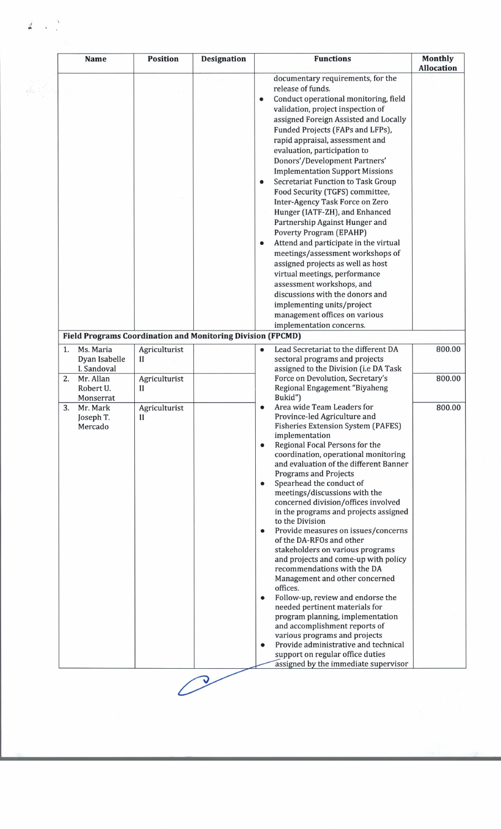|                                                                                                | <b>Name</b>                               | <b>Position</b>              | <b>Designation</b> | <b>Functions</b>                                                                                                                                                                                                                                                                                  | <b>Monthly</b><br><b>Allocation</b> |  |
|------------------------------------------------------------------------------------------------|-------------------------------------------|------------------------------|--------------------|---------------------------------------------------------------------------------------------------------------------------------------------------------------------------------------------------------------------------------------------------------------------------------------------------|-------------------------------------|--|
|                                                                                                |                                           |                              |                    | documentary requirements, for the<br>release of funds.<br>Conduct operational monitoring, field<br>$\bullet$<br>validation, project inspection of<br>assigned Foreign Assisted and Locally<br>Funded Projects (FAPs and LFPs),<br>rapid appraisal, assessment and<br>evaluation, participation to |                                     |  |
|                                                                                                |                                           |                              |                    | Donors'/Development Partners'<br><b>Implementation Support Missions</b>                                                                                                                                                                                                                           |                                     |  |
|                                                                                                |                                           |                              |                    | <b>Secretariat Function to Task Group</b><br>$\bullet$<br>Food Security (TGFS) committee,<br>Inter-Agency Task Force on Zero<br>Hunger (IATF-ZH), and Enhanced<br>Partnership Against Hunger and                                                                                                  |                                     |  |
|                                                                                                |                                           |                              |                    | <b>Poverty Program (EPAHP)</b><br>Attend and participate in the virtual<br>meetings/assessment workshops of<br>assigned projects as well as host<br>virtual meetings, performance                                                                                                                 |                                     |  |
|                                                                                                |                                           |                              |                    | assessment workshops, and<br>discussions with the donors and<br>implementing units/project<br>management offices on various                                                                                                                                                                       |                                     |  |
| implementation concerns.<br><b>Field Programs Coordination and Monitoring Division (FPCMD)</b> |                                           |                              |                    |                                                                                                                                                                                                                                                                                                   |                                     |  |
| 1.                                                                                             | Ms. Maria<br>Dyan Isabelle<br>I. Sandoval | Agriculturist<br>$_{\rm II}$ |                    | Lead Secretariat to the different DA<br>sectoral programs and projects<br>assigned to the Division (i.e DA Task                                                                                                                                                                                   | 800.00                              |  |
| 2.                                                                                             | Mr. Allan<br>Robert U.<br>Monserrat       | Agriculturist<br>H           |                    | Force on Devolution, Secretary's<br>Regional Engagement "Biyaheng<br>Bukid")                                                                                                                                                                                                                      | 800.00                              |  |
| 3.                                                                                             | Mr. Mark<br>Joseph T.<br>Mercado          | Agriculturist<br>$_{II}$     |                    | Area wide Team Leaders for<br>$\bullet$<br>Province-led Agriculture and<br><b>Fisheries Extension System (PAFES)</b><br>implementation<br>Regional Focal Persons for the<br>$\bullet$                                                                                                             | 800.00                              |  |
|                                                                                                |                                           |                              |                    | coordination, operational monitoring<br>and evaluation of the different Banner<br><b>Programs and Projects</b><br>Spearhead the conduct of<br>$\bullet$                                                                                                                                           |                                     |  |
|                                                                                                |                                           |                              |                    | meetings/discussions with the<br>concerned division/offices involved<br>in the programs and projects assigned<br>to the Division                                                                                                                                                                  |                                     |  |
|                                                                                                |                                           |                              |                    | Provide measures on issues/concerns<br>of the DA-RFOs and other<br>stakeholders on various programs<br>and projects and come-up with policy                                                                                                                                                       |                                     |  |
|                                                                                                |                                           |                              |                    | recommendations with the DA<br>Management and other concerned<br>offices.<br>Follow-up, review and endorse the<br>$\bullet$                                                                                                                                                                       |                                     |  |
|                                                                                                |                                           |                              |                    | needed pertinent materials for<br>program planning, implementation<br>and accomplishment reports of                                                                                                                                                                                               |                                     |  |
|                                                                                                |                                           |                              |                    | various programs and projects<br>Provide administrative and technical<br>$\bullet$<br>support on regular office duties                                                                                                                                                                            |                                     |  |